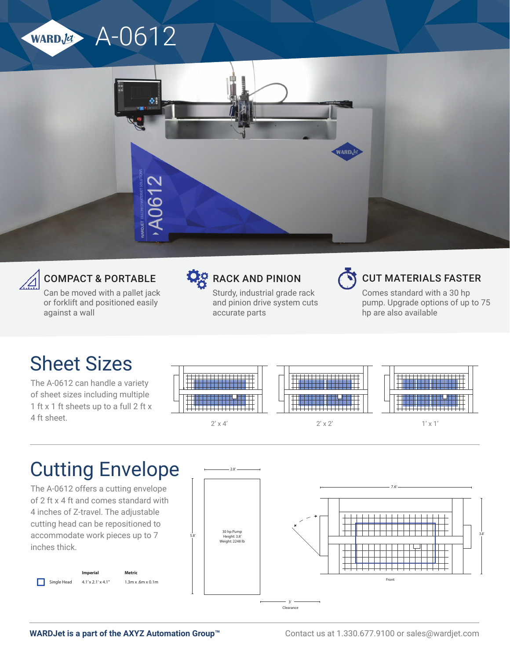





#### COMPACT & PORTABLE

Can be moved with a pallet jack or forklift and positioned easily against a wall



### **DO** RACK AND PINION

Sturdy, industrial grade rack and pinion drive system cuts accurate parts



#### CUT MATERIALS FASTER

Comes standard with a 30 hp pump. Upgrade options of up to 75 hp are also available

## Sheet Sizes

The A-0612 can handle a variety of sheet sizes including multiple 1 ft x 1 ft sheets up to a full 2 ft x 4 ft sheet.



Single Head

4.1' x 2.1' x 4.1"



 $2' \times 4'$  2'  $\times 2'$  1'  $\times 1'$ 

1.3m x .6m x 0.1m



# Cutting Envelope

*A-0612 Cutting Envelopes* inches thick. The A-0612 offers a cutting envelope of 2 ft x 4 ft and comes standard with 4 inches of Z-travel. The adjustable cutting head can be repositioned to accommodate work pieces up to 7